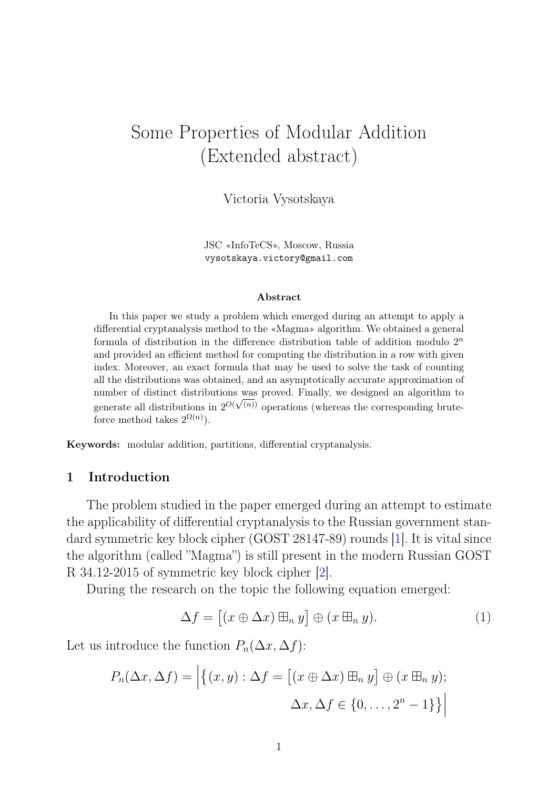# Some Properties of Modular Addition (Extended abstract)

Victoria Vysotskaya

JSC «InfoTeCS», Moscow, Russia vysotskaya.victory@gmail.com

#### Abstract

In this paper we study a problem which emerged during an attempt to apply a differential cryptanalysis method to the «Magma» algorithm. We obtained a general formula of distribution in the difference distribution table of addition modulo  $2<sup>n</sup>$ and provided an efficient method for computing the distribution in a row with given index. Moreover, an exact formula that may be used to solve the task of counting all the distributions was obtained, and an asymptotically accurate approximation of number of distinct distributions was proved. Finally, we designed an algorithm to generate all distributions in  $2^{O(\sqrt{n})}$  operations (whereas the corresponding bruteforce method takes  $2^{\Omega(n)}$ .

Keywords: modular addition, partitions, differential cryptanalysis.

## 1 Introduction

The problem studied in the paper emerged during an attempt to estimate the applicability of differential cryptanalysis to the Russian government standard symmetric key block cipher (GOST 28147-89) rounds [\[1\]](#page-11-0). It is vital since the algorithm (called "Magma") is still present in the modern Russian GOST R 34.12-2015 of symmetric key block cipher [\[2\]](#page-11-1).

During the research on the topic the following equation emerged:

<span id="page-0-0"></span>
$$
\Delta f = [(x \oplus \Delta x) \boxplus_n y] \oplus (x \boxplus_n y). \tag{1}
$$

Let us introduce the function  $P_n(\Delta x, \Delta f)$ :

$$
P_n(\Delta x, \Delta f) = \left| \left\{ (x, y) : \Delta f = \left[ (x \oplus \Delta x) \boxplus_n y \right] \oplus (x \boxplus_n y); \right. \\ \left. \Delta x, \Delta f \in \{0, \dots, 2^n - 1\} \right\} \right|
$$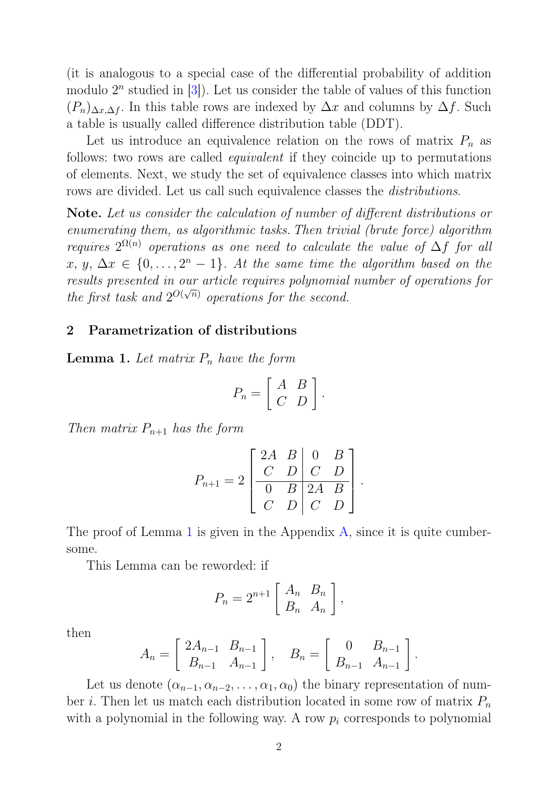(it is analogous to a special case of the differential probability of addition modulo  $2^n$  studied in [\[3\]](#page-11-2)). Let us consider the table of values of this function  $(P_n)_{\Delta x,\Delta f}$ . In this table rows are indexed by  $\Delta x$  and columns by  $\Delta f$ . Such a table is usually called difference distribution table (DDT).

Let us introduce an equivalence relation on the rows of matrix  $P_n$  as follows: two rows are called equivalent if they coincide up to permutations of elements. Next, we study the set of equivalence classes into which matrix rows are divided. Let us call such equivalence classes the *distributions*.

Note. Let us consider the calculation of number of different distributions or enumerating them, as algorithmic tasks. Then trivial (brute force) algorithm requires  $2^{\Omega(n)}$  operations as one need to calculate the value of  $\Delta f$  for all  $x, y, \Delta x \in \{0, \ldots, 2^n - 1\}$ . At the same time the algorithm based on the results presented in our article requires polynomial number of operations for the first task and  $2^{O(\sqrt{n})}$  operations for the second.

## 2 Parametrization of distributions

<span id="page-1-0"></span>**Lemma 1.** Let matrix  $P_n$  have the form

$$
P_n = \left[ \begin{array}{cc} A & B \\ C & D \end{array} \right].
$$

Then matrix  $P_{n+1}$  has the form

$$
P_{n+1} = 2\left[\begin{array}{cc|cc} 2A & B & 0 & B \\ C & D & C & D \\ \hline 0 & B & 2A & B \\ C & D & C & D \end{array}\right]
$$

.

The proof of Lemma [1](#page-1-0) is given in the Appendix [A,](#page-11-3) since it is quite cumbersome.

This Lemma can be reworded: if

$$
P_n = 2^{n+1} \left[ \begin{array}{cc} A_n & B_n \\ B_n & A_n \end{array} \right],
$$

then

$$
A_n = \begin{bmatrix} 2A_{n-1} & B_{n-1} \\ B_{n-1} & A_{n-1} \end{bmatrix}, \quad B_n = \begin{bmatrix} 0 & B_{n-1} \\ B_{n-1} & A_{n-1} \end{bmatrix}.
$$

Let us denote  $(\alpha_{n-1}, \alpha_{n-2}, \ldots, \alpha_1, \alpha_0)$  the binary representation of number *i*. Then let us match each distribution located in some row of matrix  $P_n$ with a polynomial in the following way. A row  $p_i$  corresponds to polynomial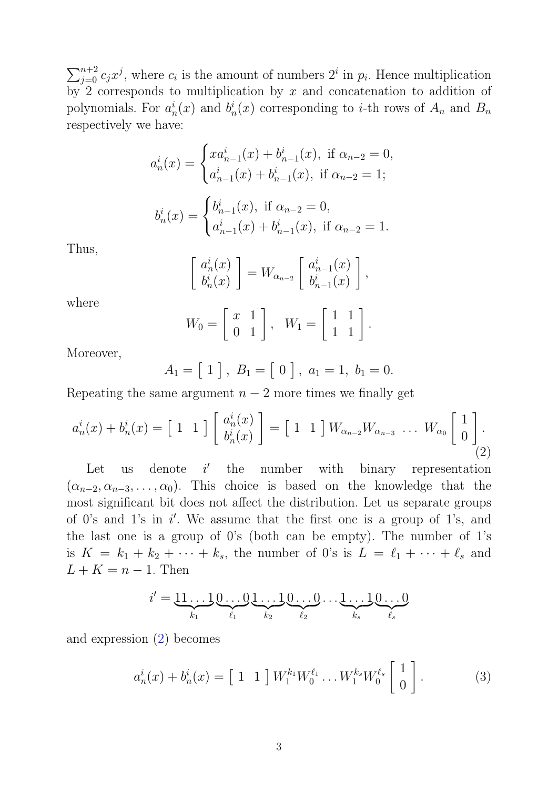$\sum_{j=0}^{n+2} c_j x^j$ , where  $c_i$  is the amount of numbers  $2^i$  in  $p_i$ . Hence multiplication by 2 corresponds to multiplication by  $x$  and concatenation to addition of polynomials. For  $a_i^i$  $i_n(x)$  and  $b_n^i$  $n \nvert_n(x)$  corresponding to *i*-th rows of  $A_n$  and  $B_n$ respectively we have:

$$
a_n^i(x) = \begin{cases} xa_{n-1}^i(x) + b_{n-1}^i(x), \text{ if } \alpha_{n-2} = 0, \\ a_{n-1}^i(x) + b_{n-1}^i(x), \text{ if } \alpha_{n-2} = 1; \end{cases}
$$

$$
b_n^i(x) = \begin{cases} b_{n-1}^i(x), \text{ if } \alpha_{n-2} = 0, \\ a_{n-1}^i(x) + b_{n-1}^i(x), \text{ if } \alpha_{n-2} = 1. \end{cases}
$$

Thus,

$$
\begin{bmatrix} a_n^i(x) \\ b_n^i(x) \end{bmatrix} = W_{\alpha_{n-2}} \begin{bmatrix} a_{n-1}^i(x) \\ b_{n-1}^i(x) \end{bmatrix},
$$

where

<span id="page-2-0"></span>
$$
W_0 = \left[ \begin{array}{cc} x & 1 \\ 0 & 1 \end{array} \right], \quad W_1 = \left[ \begin{array}{cc} 1 & 1 \\ 1 & 1 \end{array} \right].
$$

Moreover,

$$
A_1 = [1], B_1 = [0], a_1 = 1, b_1 = 0.
$$

Repeating the same argument  $n-2$  more times we finally get

$$
a_n^i(x) + b_n^i(x) = \begin{bmatrix} 1 & 1 \end{bmatrix} \begin{bmatrix} a_n^i(x) \\ b_n^i(x) \end{bmatrix} = \begin{bmatrix} 1 & 1 \end{bmatrix} W_{\alpha_{n-2}} W_{\alpha_{n-3}} \cdots W_{\alpha_0} \begin{bmatrix} 1 \\ 0 \end{bmatrix}.
$$
\n(2)

Let us denote  $i'$ the number with binary representation  $(\alpha_{n-2}, \alpha_{n-3}, \ldots, \alpha_0)$ . This choice is based on the knowledge that the most significant bit does not affect the distribution. Let us separate groups of 0's and 1's in  $i'$ . We assume that the first one is a group of 1's, and the last one is a group of 0's (both can be empty). The number of 1's is  $K = k_1 + k_2 + \cdots + k_s$ , the number of 0's is  $L = \ell_1 + \cdots + \ell_s$  and  $L + K = n - 1$ . Then

$$
i' = \underbrace{11 \dots 1}_{k_1} \underbrace{0 \dots 0}_{\ell_1} \underbrace{1 \dots 1}_{k_2} \underbrace{0 \dots 0}_{\ell_2} \dots \underbrace{1 \dots 1}_{k_s} \underbrace{0 \dots 0}_{\ell_s}
$$

<span id="page-2-1"></span>and expression [\(2\)](#page-2-0) becomes

$$
a_n^i(x) + b_n^i(x) = \begin{bmatrix} 1 & 1 \end{bmatrix} W_1^{k_1} W_0^{\ell_1} \dots W_1^{k_s} W_0^{\ell_s} \begin{bmatrix} 1 \\ 0 \end{bmatrix}.
$$
 (3)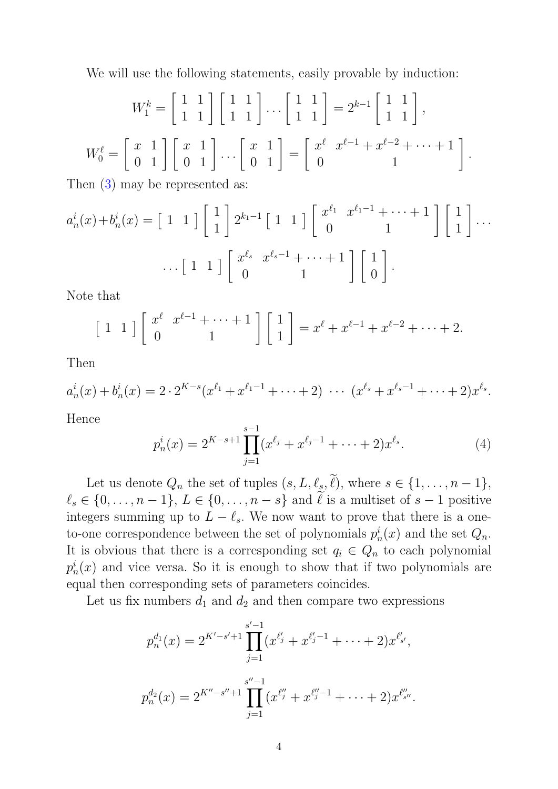We will use the following statements, easily provable by induction:

$$
W_1^k = \begin{bmatrix} 1 & 1 \\ 1 & 1 \end{bmatrix} \begin{bmatrix} 1 & 1 \\ 1 & 1 \end{bmatrix} \cdots \begin{bmatrix} 1 & 1 \\ 1 & 1 \end{bmatrix} = 2^{k-1} \begin{bmatrix} 1 & 1 \\ 1 & 1 \end{bmatrix},
$$
  

$$
W_0^\ell = \begin{bmatrix} x & 1 \\ 0 & 1 \end{bmatrix} \begin{bmatrix} x & 1 \\ 0 & 1 \end{bmatrix} \cdots \begin{bmatrix} x & 1 \\ 0 & 1 \end{bmatrix} = \begin{bmatrix} x^\ell & x^{\ell-1} + x^{\ell-2} + \cdots + 1 \\ 0 & 1 \end{bmatrix}.
$$

Then [\(3\)](#page-2-1) may be represented as:

$$
a_n^i(x) + b_n^i(x) = \begin{bmatrix} 1 & 1 \end{bmatrix} \begin{bmatrix} 1 \\ 1 \end{bmatrix} 2^{k_1 - 1} \begin{bmatrix} 1 & 1 \end{bmatrix} \begin{bmatrix} x^{\ell_1} & x^{\ell_1 - 1} + \dots + 1 \\ 0 & 1 \end{bmatrix} \begin{bmatrix} 1 \\ 1 \end{bmatrix} \dots
$$

$$
\dots \begin{bmatrix} 1 & 1 \end{bmatrix} \begin{bmatrix} x^{\ell_s} & x^{\ell_s - 1} + \dots + 1 \\ 0 & 1 \end{bmatrix} \begin{bmatrix} 1 \\ 0 \end{bmatrix}.
$$

Note that

$$
\begin{bmatrix} 1 & 1 \end{bmatrix} \begin{bmatrix} x^{\ell} & x^{\ell-1} + \cdots + 1 \\ 0 & 1 \end{bmatrix} \begin{bmatrix} 1 \\ 1 \end{bmatrix} = x^{\ell} + x^{\ell-1} + x^{\ell-2} + \cdots + 2.
$$

Then

$$
a_n^i(x) + b_n^i(x) = 2 \cdot 2^{K-s}(x^{\ell_1} + x^{\ell_1 - 1} + \dots + 2) \cdot \dots \cdot (x^{\ell_s} + x^{\ell_s - 1} + \dots + 2)x^{\ell_s}.
$$

Hence

$$
p_n^i(x) = 2^{K-s+1} \prod_{j=1}^{s-1} (x^{\ell_j} + x^{\ell_j - 1} + \dots + 2) x^{\ell_s}.
$$
 (4)

Let us denote  $Q_n$  the set of tuples  $(s, L, \ell_s, \tilde{\ell}),$  where  $s \in \{1, \ldots, n-1\},$  $\ell_s \in \{0, \ldots, n-1\}, L \in \{0, \ldots, n-s\}$  and  $\tilde{\ell}$  is a multiset of  $s-1$  positive integers summing up to  $L - \ell_s$ . We now want to prove that there is a oneto-one correspondence between the set of polynomials  $p_i^i$  $n \choose n$  and the set  $Q_n$ . It is obvious that there is a corresponding set  $q_i \in Q_n$  to each polynomial  $p_r^i$  $n(n)$  and vice versa. So it is enough to show that if two polynomials are equal then corresponding sets of parameters coincides.

Let us fix numbers  $d_1$  and  $d_2$  and then compare two expressions

$$
p_n^{d_1}(x) = 2^{K'-s'+1} \prod_{j=1}^{s'-1} (x^{\ell'_j} + x^{\ell'_j-1} + \dots + 2) x^{\ell'_{s'}},
$$
  

$$
p_n^{d_2}(x) = 2^{K''-s''+1} \prod_{j=1}^{s''-1} (x^{\ell''_j} + x^{\ell''_j-1} + \dots + 2) x^{\ell''_{s''}}.
$$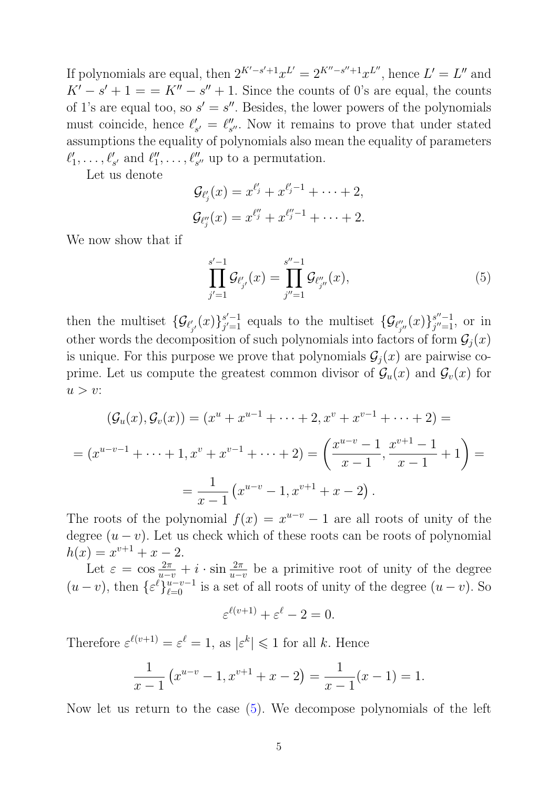If polynomials are equal, then  $2^{K'-s'+1}x^{L'} = 2^{K''-s''+1}x^{L''}$ , hence  $L' = L''$  and  $K' - s' + 1 = K'' - s'' + 1$ . Since the counts of 0's are equal, the counts of 1's are equal too, so  $s' = s''$ . Besides, the lower powers of the polynomials must coincide, hence  $\ell'$  $S'_{s'} = \ell''_{s}$  $\frac{m}{s}$ . Now it remains to prove that under stated assumptions the equality of polynomials also mean the equality of parameters  $\ell'_1$  $\ell_1', \ldots, \ell'_{s'}$  and  $\ell''_1$  $''_1, \ldots, \ell''_{s''}$  up to a permutation.

Let us denote

$$
\mathcal{G}_{\ell'_j}(x) = x^{\ell'_j} + x^{\ell'_j - 1} + \cdots + 2,
$$
  

$$
\mathcal{G}_{\ell''_j}(x) = x^{\ell''_j} + x^{\ell''_j - 1} + \cdots + 2.
$$

We now show that if

<span id="page-4-0"></span>
$$
\prod_{j'=1}^{s'-1} \mathcal{G}_{\ell'_{j'}}(x) = \prod_{j''=1}^{s''-1} \mathcal{G}_{\ell''_{j''}}(x),\tag{5}
$$

then the multiset  $\{\mathcal{G}_{\ell'_{j'}}(x)\}_{j'=1}^{s'-1}$  $j'=1$  equals to the multiset  $\{\mathcal{G}_{\ell''_{j''}}(x)\}_{j'=1}^{s''-1}$  $\frac{s^{\prime\prime}-1}{j^{\prime\prime}=1},$  or in other words the decomposition of such polynomials into factors of form  $\mathcal{G}_j(x)$ is unique. For this purpose we prove that polynomials  $\mathcal{G}_i(x)$  are pairwise coprime. Let us compute the greatest common divisor of  $\mathcal{G}_u(x)$  and  $\mathcal{G}_v(x)$  for  $u > v$ :

$$
(\mathcal{G}_u(x), \mathcal{G}_v(x)) = (x^u + x^{u-1} + \dots + 2, x^v + x^{v-1} + \dots + 2) =
$$
  
=  $(x^{u-v-1} + \dots + 1, x^v + x^{v-1} + \dots + 2) = \left(\frac{x^{u-v} - 1}{x - 1}, \frac{x^{v+1} - 1}{x - 1} + 1\right) =$   
=  $\frac{1}{x - 1} (x^{u-v} - 1, x^{v+1} + x - 2).$ 

The roots of the polynomial  $f(x) = x^{u-v} - 1$  are all roots of unity of the degree  $(u - v)$ . Let us check which of these roots can be roots of polynomial  $h(x) = x^{v+1} + x - 2.$ 

Let  $\varepsilon = \cos \frac{2\pi}{u-v} + i \cdot \sin \frac{2\pi}{u-v}$  be a primitive root of unity of the degree  $(u-v)$ , then  $\{\varepsilon^{\ell}\}_{\ell=0}^{u-v-1}$  is a set of all roots of unity of the degree  $(u-v)$ . So

$$
\varepsilon^{\ell(v+1)} + \varepsilon^{\ell} - 2 = 0.
$$

Therefore  $\varepsilon^{\ell(v+1)} = \varepsilon^{\ell} = 1$ , as  $|\varepsilon^{k}| \leq 1$  for all k. Hence

$$
\frac{1}{x-1}(x^{u-v}-1, x^{v+1}+x-2) = \frac{1}{x-1}(x-1) = 1.
$$

Now let us return to the case [\(5\)](#page-4-0). We decompose polynomials of the left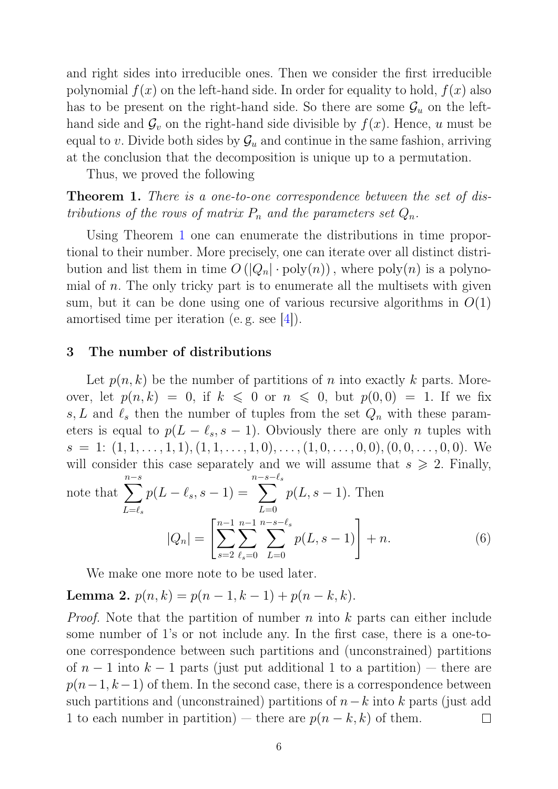and right sides into irreducible ones. Then we consider the first irreducible polynomial  $f(x)$  on the left-hand side. In order for equality to hold,  $f(x)$  also has to be present on the right-hand side. So there are some  $\mathcal{G}_u$  on the lefthand side and  $\mathcal{G}_v$  on the right-hand side divisible by  $f(x)$ . Hence, u must be equal to v. Divide both sides by  $\mathcal{G}_u$  and continue in the same fashion, arriving at the conclusion that the decomposition is unique up to a permutation.

Thus, we proved the following

<span id="page-5-0"></span>**Theorem 1.** There is a one-to-one correspondence between the set of distributions of the rows of matrix  $P_n$  and the parameters set  $Q_n$ .

Using Theorem [1](#page-5-0) one can enumerate the distributions in time proportional to their number. More precisely, one can iterate over all distinct distribution and list them in time  $O(|Q_n| \cdot \text{poly}(n))$ , where  $\text{poly}(n)$  is a polynomial of  $n$ . The only tricky part is to enumerate all the multisets with given sum, but it can be done using one of various recursive algorithms in  $O(1)$ amortised time per iteration (e. g. see [\[4\]](#page-11-4)).

#### 3 The number of distributions

Let  $p(n, k)$  be the number of partitions of n into exactly k parts. Moreover, let  $p(n, k) = 0$ , if  $k \leq 0$  or  $n \leq 0$ , but  $p(0, 0) = 1$ . If we fix s, L and  $\ell_s$  then the number of tuples from the set  $Q_n$  with these parameters is equal to  $p(L - \ell_s, s - 1)$ . Obviously there are only n tuples with  $s = 1: (1, 1, \ldots, 1, 1), (1, 1, \ldots, 1, 0), \ldots, (1, 0, \ldots, 0, 0), (0, 0, \ldots, 0, 0).$  We will consider this case separately and we will assume that  $s \geq 2$ . Finally, note that  $\sum$ n−s  $L=\ell_s$  $p(L - \ell_s, s - 1) =$ n− $\sum$  $s-\ell_s$  $L=0$  $p(L, s-1)$ . Then  $|Q_n| = \left[\sum^{n-1}\right]$  $\sum$  $n-1$ n− $\sum$  $s-\ell_s$  $p(L, s - 1)$  + n. (6)

 $L=0$ 

<span id="page-5-1"></span>We make one more note to be used later.

## <span id="page-5-2"></span>Lemma 2.  $p(n, k) = p(n - 1, k - 1) + p(n - k, k).$

 $s=2$ 

 $\ell_s=0$ 

*Proof.* Note that the partition of number n into k parts can either include some number of 1's or not include any. In the first case, there is a one-toone correspondence between such partitions and (unconstrained) partitions of  $n-1$  into  $k-1$  parts (just put additional 1 to a partition) — there are  $p(n-1, k-1)$  of them. In the second case, there is a correspondence between such partitions and (unconstrained) partitions of  $n-k$  into k parts (just add 1 to each number in partition) — there are  $p(n - k, k)$  of them.  $\Box$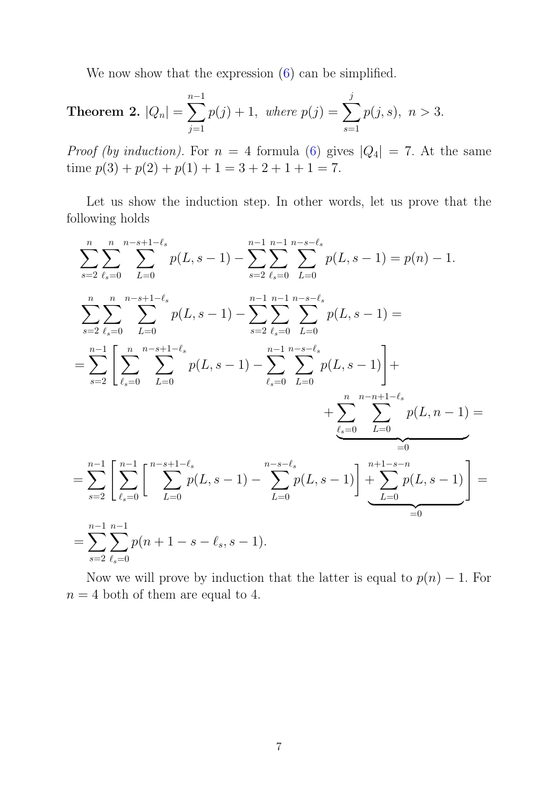We now show that the expression  $(6)$  can be simplified.

<span id="page-6-0"></span>**Theorem 2.** 
$$
|Q_n| = \sum_{j=1}^{n-1} p(j) + 1
$$
, where  $p(j) = \sum_{s=1}^{j} p(j, s)$ ,  $n > 3$ .

*Proof (by induction)*. For  $n = 4$  formula [\(6\)](#page-5-1) gives  $|Q_4| = 7$ . At the same time  $p(3) + p(2) + p(1) + 1 = 3 + 2 + 1 + 1 = 7$ .

Let us show the induction step. In other words, let us prove that the following holds

$$
\sum_{s=2}^{n} \sum_{\ell_s=0}^{n-s+1-\ell_s} p(L, s-1) - \sum_{s=2}^{n-1} \sum_{\ell_s=0}^{n-s+\ell_s} p(L, s-1) = p(n) - 1.
$$
\n
$$
\sum_{s=2}^{n} \sum_{\ell_s=0}^{n-s+1-\ell_s} \sum_{L=0}^{n-1} p(L, s-1) - \sum_{s=2}^{n-1} \sum_{\ell_s=0}^{n-1} \sum_{L=0}^{n-s+\ell_s} p(L, s-1) =
$$
\n
$$
= \sum_{s=2}^{n-1} \left[ \sum_{\ell_s=0}^{n} \sum_{L=0}^{n-s+1-\ell_s} p(L, s-1) - \sum_{\ell_s=0}^{n-1} \sum_{L=0}^{n-s+\ell_s} p(L, s-1) \right] +
$$
\n
$$
+ \sum_{\ell_s=0}^{n} \sum_{L=0}^{n-n+1-\ell_s} p(L, n-1) =
$$
\n
$$
= \sum_{s=2}^{n-1} \sum_{\ell_s=0}^{n-1} \left[ \sum_{L=0}^{n-s+1-\ell_s} p(L, s-1) - \sum_{L=0}^{n-s-\ell_s} p(L, s-1) \right] + \sum_{\ell_s=0}^{n+1-s-n} p(L, s-1)
$$
\n
$$
= \sum_{s=2}^{n-1} \sum_{\ell_s=0}^{n-1} p(n+1-s-\ell_s, s-1).
$$

Now we will prove by induction that the latter is equal to  $p(n) - 1$ . For  $n = 4$  both of them are equal to 4.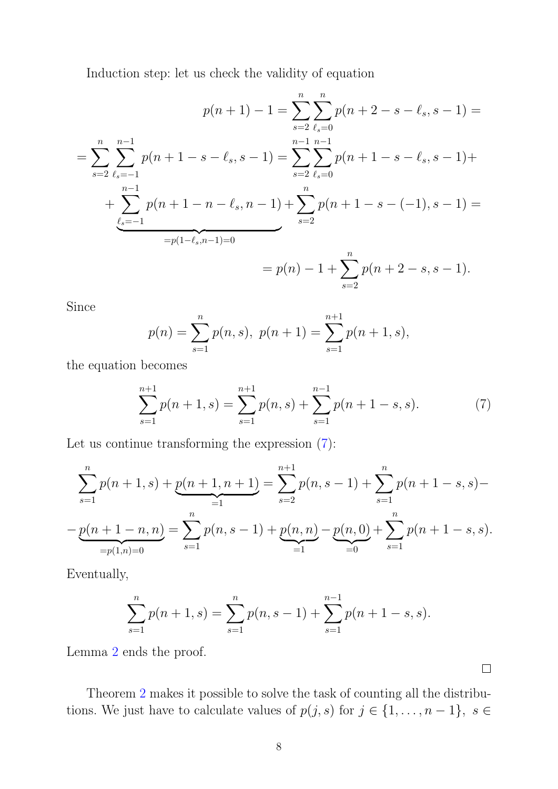Induction step: let us check the validity of equation

$$
p(n+1) - 1 = \sum_{s=2}^{n} \sum_{\ell_s=0}^{n} p(n+2-s-\ell_s, s-1) =
$$
  
= 
$$
\sum_{s=2}^{n} \sum_{\ell_s=-1}^{n-1} p(n+1-s-\ell_s, s-1) = \sum_{s=2}^{n-1} \sum_{\ell_s=0}^{n-1} p(n+1-s-\ell_s, s-1) +
$$
  
+ 
$$
\sum_{\ell_s=-1}^{n-1} p(n+1-n-\ell_s, n-1) + \sum_{s=2}^{n} p(n+1-s-(-1), s-1) =
$$
  
= 
$$
p(n) - 1 + \sum_{s=2}^{n} p(n+2-s, s-1).
$$

Since

<span id="page-7-0"></span>
$$
p(n) = \sum_{s=1}^{n} p(n, s), \ p(n + 1) = \sum_{s=1}^{n+1} p(n + 1, s),
$$

the equation becomes

$$
\sum_{s=1}^{n+1} p(n+1,s) = \sum_{s=1}^{n+1} p(n,s) + \sum_{s=1}^{n-1} p(n+1-s,s).
$$
 (7)

Let us continue transforming the expression [\(7\)](#page-7-0):

$$
\sum_{s=1}^{n} p(n+1,s) + \underbrace{p(n+1,n+1)}_{=1} = \sum_{s=2}^{n+1} p(n,s-1) + \sum_{s=1}^{n} p(n+1-s,s) -
$$

$$
-\underbrace{p(n+1-n,n)}_{=p(1,n)=0} = \sum_{s=1}^{n} p(n,s-1) + \underbrace{p(n,n)}_{=1} - \underbrace{p(n,0)}_{=0} + \sum_{s=1}^{n} p(n+1-s,s).
$$

Eventually,

$$
\sum_{s=1}^{n} p(n+1, s) = \sum_{s=1}^{n} p(n, s-1) + \sum_{s=1}^{n-1} p(n+1-s, s).
$$

Lemma [2](#page-5-2) ends the proof.

Theorem [2](#page-6-0) makes it possible to solve the task of counting all the distributions. We just have to calculate values of  $p(j, s)$  for  $j \in \{1, \ldots, n-1\}$ ,  $s \in$ 

 $\Box$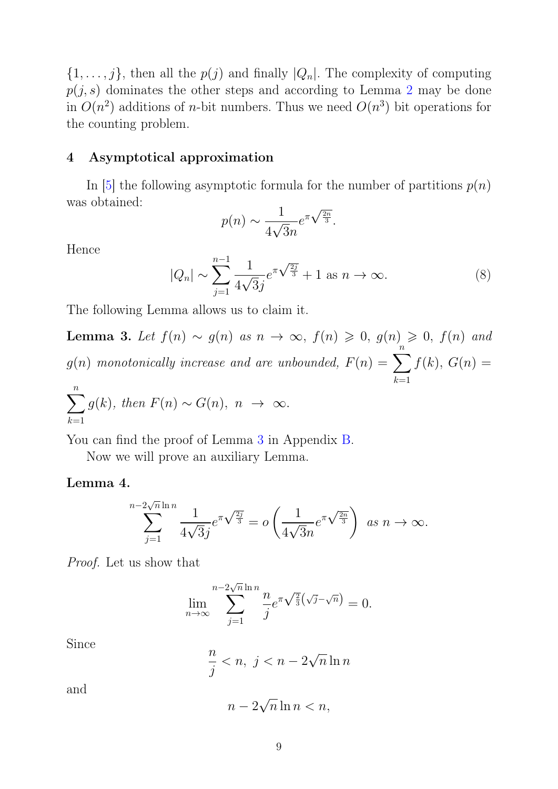$\{1,\ldots,j\}$ , then all the  $p(j)$  and finally  $|Q_n|$ . The complexity of computing  $p(j, s)$  dominates the other steps and according to Lemma [2](#page-5-2) may be done in  $O(n^2)$  additions of *n*-bit numbers. Thus we need  $O(n^3)$  bit operations for the counting problem.

### 4 Asymptotical approximation

In [\[5\]](#page-11-5) the following asymptotic formula for the number of partitions  $p(n)$ was obtained:

$$
p(n) \sim \frac{1}{4\sqrt{3n}} e^{\pi \sqrt{\frac{2n}{3}}}.
$$

Hence

$$
|Q_n| \sim \sum_{j=1}^{n-1} \frac{1}{4\sqrt{3}j} e^{\pi \sqrt{\frac{2j}{3}}} + 1 \text{ as } n \to \infty.
$$
 (8)

The following Lemma allows us to claim it.

<span id="page-8-0"></span>Lemma 3. Let  $f(n) \sim g(n)$  as  $n \to \infty$ ,  $f(n) \geq 0$ ,  $g(n) \geq 0$ ,  $f(n)$  and  $g(n)$  monotonically increase and are unbounded,  $F(n) = \sum$ n  $k=1$  $f(k), G(n) =$ n

$$
\sum_{k=1}^{n} g(k), \text{ then } F(n) \sim G(n), \ n \rightarrow \infty.
$$

You can find the proof of Lemma [3](#page-8-0) in Appendix [B.](#page-15-0)

Now we will prove an auxiliary Lemma.

#### <span id="page-8-1"></span>Lemma 4.

$$
\sum_{j=1}^{-2\sqrt{n}\ln n} \frac{1}{4\sqrt{3}j} e^{\pi\sqrt{\frac{2j}{3}}} = o\left(\frac{1}{4\sqrt{3}n} e^{\pi\sqrt{\frac{2n}{3}}}\right) \text{ as } n \to \infty.
$$

Proof. Let us show that

 $\overline{n}$ 

$$
\lim_{n \to \infty} \sum_{j=1}^{n-2\sqrt{n}\ln n} \frac{n}{j} e^{\pi \sqrt{\frac{2}{3}}(\sqrt{j}-\sqrt{n})} = 0.
$$

Since

 $\overline{n}$ j  $\langle n, j \rangle \langle n-2 \rangle$ √  $\overline{n}$  ln n

and

$$
n - 2\sqrt{n}\ln n < n,
$$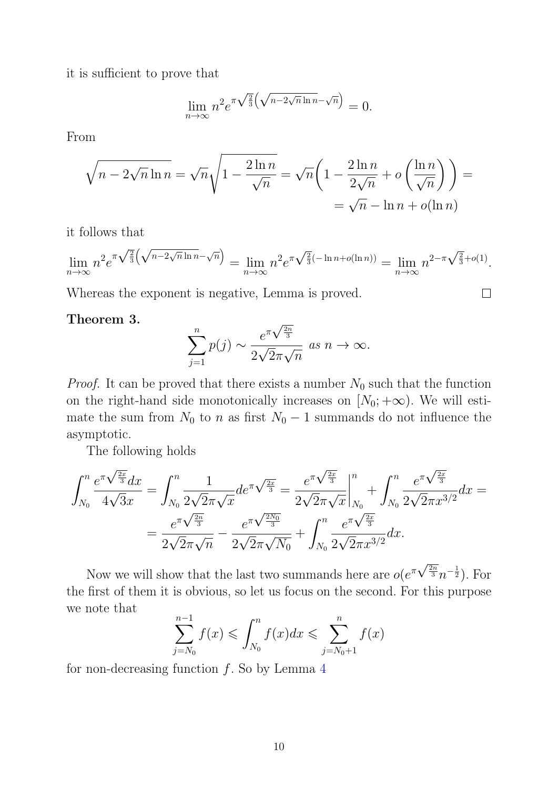it is sufficient to prove that

$$
\lim_{n \to \infty} n^2 e^{\pi \sqrt{\frac{2}{3}} \left(\sqrt{n - 2\sqrt{n} \ln n} - \sqrt{n}\right)} = 0.
$$

From

$$
\sqrt{n - 2\sqrt{n}\ln n} = \sqrt{n}\sqrt{1 - \frac{2\ln n}{\sqrt{n}}} = \sqrt{n}\left(1 - \frac{2\ln n}{2\sqrt{n}} + o\left(\frac{\ln n}{\sqrt{n}}\right)\right) =
$$
  
=  $\sqrt{n} - \ln n + o(\ln n)$ 

it follows that

$$
\lim_{n \to \infty} n^2 e^{\pi \sqrt{\frac{2}{3}} \left(\sqrt{n-2\sqrt{n \ln n} - \sqrt{n}}\right)} = \lim_{n \to \infty} n^2 e^{\pi \sqrt{\frac{2}{3}} (-\ln n + o(\ln n))} = \lim_{n \to \infty} n^{2-\pi \sqrt{\frac{2}{3}} + o(1)}.
$$

 $\Box$ 

Whereas the exponent is negative, Lemma is proved.

#### Theorem 3.

$$
\sum_{j=1}^{n} p(j) \sim \frac{e^{\pi\sqrt{\frac{2n}{3}}}}{2\sqrt{2}\pi\sqrt{n}} \text{ as } n \to \infty.
$$

*Proof.* It can be proved that there exists a number  $N_0$  such that the function on the right-hand side monotonically increases on  $[N_0; +\infty)$ . We will estimate the sum from  $N_0$  to n as first  $N_0 - 1$  summands do not influence the asymptotic.

The following holds

$$
\int_{N_0}^{n} \frac{e^{\pi \sqrt{\frac{2x}{3}}} dx}{4\sqrt{3}x} = \int_{N_0}^{n} \frac{1}{2\sqrt{2}\pi\sqrt{x}} de^{\pi \sqrt{\frac{2x}{3}}} = \frac{e^{\pi \sqrt{\frac{2x}{3}}}}{2\sqrt{2}\pi\sqrt{x}} \Big|_{N_0}^{n} + \int_{N_0}^{n} \frac{e^{\pi \sqrt{\frac{2x}{3}}}}{2\sqrt{2}\pi x^{3/2}} dx =
$$

$$
= \frac{e^{\pi \sqrt{\frac{2x}{3}}}}{2\sqrt{2}\pi\sqrt{n}} - \frac{e^{\pi \sqrt{\frac{2x}{3}}}}{2\sqrt{2}\pi\sqrt{N_0}} + \int_{N_0}^{n} \frac{e^{\pi \sqrt{\frac{2x}{3}}}}{2\sqrt{2}\pi x^{3/2}} dx.
$$

Now we will show that the last two summands here are  $o(e^{\pi\sqrt{\frac{2n}{3}}}$  $\frac{2n}{3}n^{-\frac{1}{2}}$ ). For the first of them it is obvious, so let us focus on the second. For this purpose we note that

$$
\sum_{j=N_0}^{n-1} f(x) \leqslant \int_{N_0}^n f(x) dx \leqslant \sum_{j=N_0+1}^n f(x)
$$

for non-decreasing function  $f$ . So by Lemma [4](#page-8-1)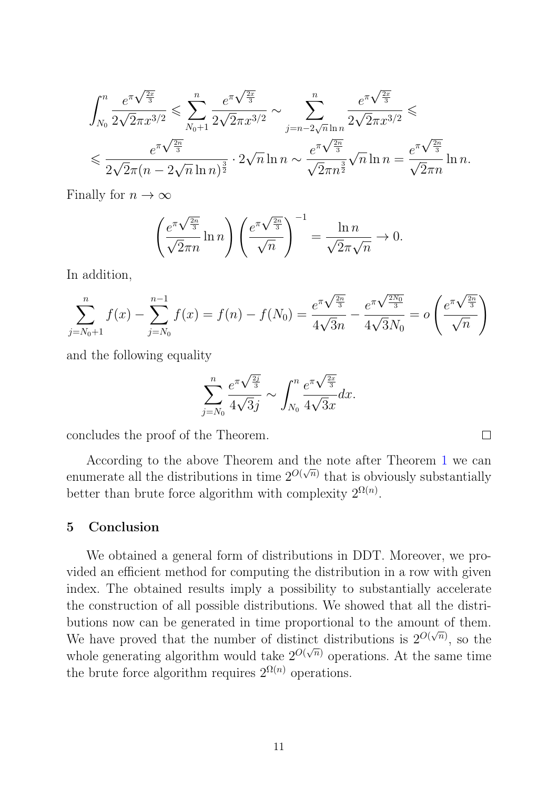$$
\int_{N_0}^n \frac{e^{\pi \sqrt{\frac{2x}{3}}}}{2\sqrt{2\pi}x^{3/2}} \leq \sum_{N_0+1}^n \frac{e^{\pi \sqrt{\frac{2x}{3}}}}{2\sqrt{2\pi}x^{3/2}} \sim \sum_{j=n-2\sqrt{n}\ln n}^n \frac{e^{\pi \sqrt{\frac{2x}{3}}}}{2\sqrt{2\pi}x^{3/2}} \leq \frac{e^{\pi \sqrt{\frac{2x}{3}}}}{2\sqrt{2\pi}(n-2\sqrt{n}\ln n)^{\frac{3}{2}}} \cdot 2\sqrt{n}\ln n \sim \frac{e^{\pi \sqrt{\frac{2x}{3}}}}{\sqrt{2\pi}n^{\frac{3}{2}}}\sqrt{n}\ln n = \frac{e^{\pi \sqrt{\frac{2x}{3}}}}{\sqrt{2\pi}n}\ln n.
$$

Finally for  $n \to \infty$ 

$$
\left(\frac{e^{\pi\sqrt{\frac{2n}{3}}}}{\sqrt{2}\pi n}\ln n\right)\left(\frac{e^{\pi\sqrt{\frac{2n}{3}}}}{\sqrt{n}}\right)^{-1} = \frac{\ln n}{\sqrt{2}\pi\sqrt{n}} \to 0.
$$

In addition,

$$
\sum_{j=N_0+1}^{n} f(x) - \sum_{j=N_0}^{n-1} f(x) = f(n) - f(N_0) = \frac{e^{\pi \sqrt{\frac{2n}{3}}}}{4\sqrt{3n}} - \frac{e^{\pi \sqrt{\frac{2N_0}{3}}}}{4\sqrt{3}N_0} = o\left(\frac{e^{\pi \sqrt{\frac{2n}{3}}}}{\sqrt{n}}\right)
$$

and the following equality

$$
\sum_{j=N_0}^{n} \frac{e^{\pi \sqrt{\frac{2j}{3}}}}{4\sqrt{3}j} \sim \int_{N_0}^{n} \frac{e^{\pi \sqrt{\frac{2x}{3}}}}{4\sqrt{3}x} dx.
$$

 $\Box$ 

concludes the proof of the Theorem.

According to the above Theorem and the note after Theorem [1](#page-5-0) we can enumerate all the distributions in time  $2^{O(\sqrt{n})}$  that is obviously substantially better than brute force algorithm with complexity  $2^{\Omega(n)}$ .

## 5 Conclusion

We obtained a general form of distributions in DDT. Moreover, we provided an efficient method for computing the distribution in a row with given index. The obtained results imply a possibility to substantially accelerate the construction of all possible distributions. We showed that all the distributions now can be generated in time proportional to the amount of them. We have proved that the number of distinct distributions is  $2^{O(\sqrt{n})}$ , so the whole generating algorithm would take  $2^{O(\sqrt{n})}$  operations. At the same time the brute force algorithm requires  $2^{\Omega(n)}$  operations.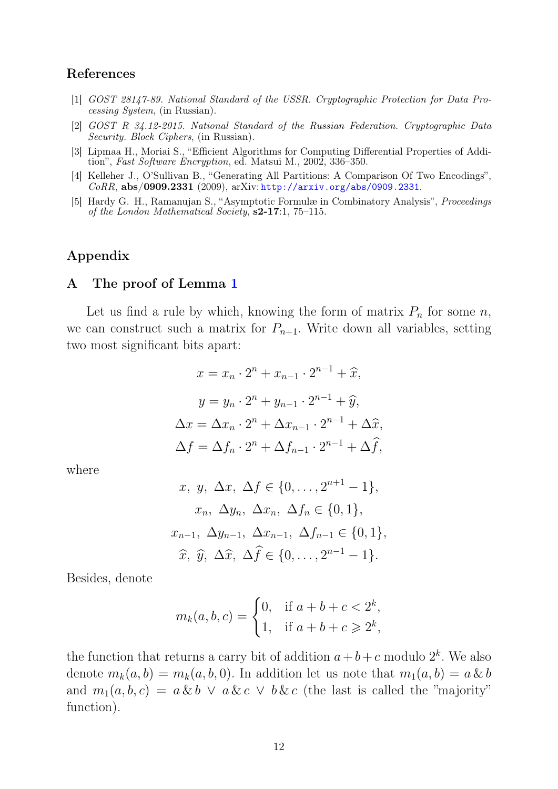#### References

- <span id="page-11-0"></span>[1] GOST 28147-89. National Standard of the USSR. Cryptographic Protection for Data Processing System, (in Russian).
- <span id="page-11-1"></span>[2] GOST R 34.12-2015. National Standard of the Russian Federation. Cryptographic Data Security. Block Ciphers, (in Russian).
- <span id="page-11-2"></span>[3] Lipmaa H., Moriai S., "Efficient Algorithms for Computing Differential Properties of Addition", Fast Software Encryption, ed. Matsui M., 2002, 336-350.
- <span id="page-11-4"></span>[4] Kelleher J., O'Sullivan B., "Generating All Partitions: A Comparison Of Two Encodings",  $\emph{CoRR}, \textbf{abs}/\textbf{0909.2331}$  (2009), arXiv: <http://arxiv.org/abs/0909.2331>.
- <span id="page-11-5"></span>[5] Hardy G. H., Ramanujan S., "Asymptotic Formulæ in Combinatory Analysis", Proceedings of the London Mathematical Society, s2-17:1, 75–115.

## Appendix

#### <span id="page-11-3"></span>A The proof of Lemma [1](#page-1-0)

Let us find a rule by which, knowing the form of matrix  $P_n$  for some n, we can construct such a matrix for  $P_{n+1}$ . Write down all variables, setting two most significant bits apart:

$$
x = x_n \cdot 2^n + x_{n-1} \cdot 2^{n-1} + \hat{x},
$$
  
\n
$$
y = y_n \cdot 2^n + y_{n-1} \cdot 2^{n-1} + \hat{y},
$$
  
\n
$$
\Delta x = \Delta x_n \cdot 2^n + \Delta x_{n-1} \cdot 2^{n-1} + \Delta \hat{x},
$$
  
\n
$$
\Delta f = \Delta f_n \cdot 2^n + \Delta f_{n-1} \cdot 2^{n-1} + \Delta \hat{f},
$$

where

$$
x, y, \Delta x, \Delta f \in \{0, ..., 2^{n+1} - 1\},
$$
  
\n $x_n, \Delta y_n, \Delta x_n, \Delta f_n \in \{0, 1\},$   
\n $x_{n-1}, \Delta y_{n-1}, \Delta x_{n-1}, \Delta f_{n-1} \in \{0, 1\},$   
\n $\hat{x}, \hat{y}, \Delta \hat{x}, \Delta \hat{f} \in \{0, ..., 2^{n-1} - 1\}.$ 

Besides, denote

$$
m_k(a, b, c) = \begin{cases} 0, & \text{if } a + b + c < 2^k, \\ 1, & \text{if } a + b + c \geq 2^k, \end{cases}
$$

the function that returns a carry bit of addition  $a+b+c$  modulo  $2^k$ . We also denote  $m_k(a, b) = m_k(a, b, 0)$ . In addition let us note that  $m_1(a, b) = a \& b$ and  $m_1(a, b, c) = a \& b \lor a \& c \lor b \& c$  (the last is called the "majority" function).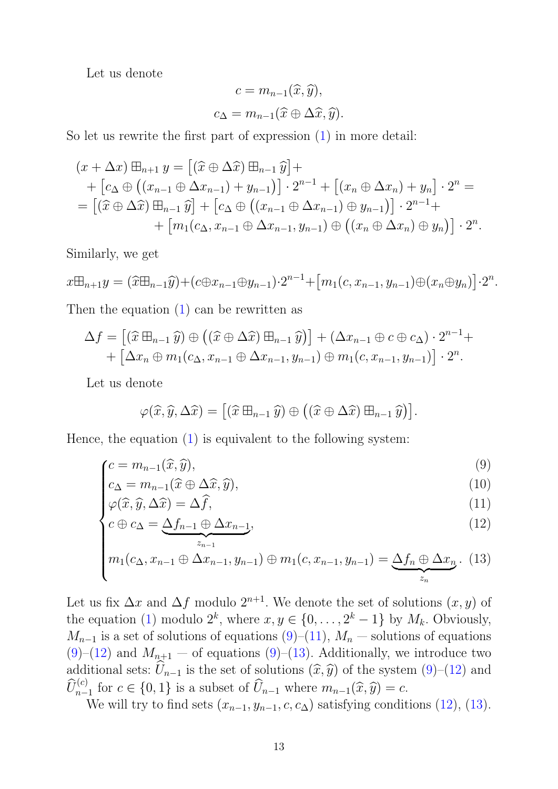Let us denote

$$
c = m_{n-1}(\widehat{x}, \widehat{y}),
$$
  

$$
c_{\Delta} = m_{n-1}(\widehat{x} \oplus \Delta \widehat{x}, \widehat{y}).
$$

So let us rewrite the first part of expression [\(1\)](#page-0-0) in more detail:

$$
(x + \Delta x) \boxplus_{n+1} y = [(\hat{x} \oplus \Delta \hat{x}) \boxplus_{n-1} \hat{y}] +
$$
  
+ 
$$
[c_{\Delta} \oplus ((x_{n-1} \oplus \Delta x_{n-1}) + y_{n-1})] \cdot 2^{n-1} + [(x_n \oplus \Delta x_n) + y_n] \cdot 2^n =
$$
  
= 
$$
[(\hat{x} \oplus \Delta \hat{x}) \boxplus_{n-1} \hat{y}] + [c_{\Delta} \oplus ((x_{n-1} \oplus \Delta x_{n-1}) \oplus y_{n-1})] \cdot 2^{n-1} +
$$
  
+ 
$$
[m_1(c_{\Delta}, x_{n-1} \oplus \Delta x_{n-1}, y_{n-1}) \oplus ((x_n \oplus \Delta x_n) \oplus y_n)] \cdot 2^n.
$$

Similarly, we get

$$
x \boxplus_{n+1} y = (\widehat{x} \boxplus_{n-1} \widehat{y}) + (c \oplus x_{n-1} \oplus y_{n-1}) \cdot 2^{n-1} + [m_1(c, x_{n-1}, y_{n-1}) \oplus (x_n \oplus y_n)] \cdot 2^n.
$$

Then the equation [\(1\)](#page-0-0) can be rewritten as

$$
\Delta f = [(\widehat{x} \boxplus_{n-1} \widehat{y}) \oplus ((\widehat{x} \oplus \Delta \widehat{x}) \boxplus_{n-1} \widehat{y})] + (\Delta x_{n-1} \oplus c \oplus c_{\Delta}) \cdot 2^{n-1} + [\Delta x_n \oplus m_1(c_{\Delta}, x_{n-1} \oplus \Delta x_{n-1}, y_{n-1}) \oplus m_1(c, x_{n-1}, y_{n-1})] \cdot 2^n.
$$

Let us denote

$$
\varphi(\widehat{x},\widehat{y},\Delta\widehat{x}) = [(\widehat{x}\boxplus_{n-1}\widehat{y}) \oplus ((\widehat{x}\oplus \Delta\widehat{x})\boxplus_{n-1}\widehat{y})].
$$

Hence, the equation  $(1)$  is equivalent to the following system:

$$
c = m_{n-1}(\hat{x}, \hat{y}),\tag{9}
$$

$$
c_{\Delta} = m_{n-1}(\hat{x} \oplus \Delta \hat{x}, \hat{y}),
$$
  
\n
$$
\varphi(\hat{x}, \hat{y}, \Delta \hat{x}) = \Delta \hat{f},
$$
  
\n(10)  
\n(11)

$$
\varphi(\widehat{x}, \widehat{y}, \Delta \widehat{x}) = \Delta \widehat{f},\tag{11}
$$

$$
c \oplus c_{\Delta} = \underbrace{\Delta f_{n-1} \oplus \Delta x_{n-1}}_{z_{n-1}},\tag{12}
$$

$$
m_1(c_{\Delta}, x_{n-1} \oplus \Delta x_{n-1}, y_{n-1}) \oplus m_1(c, x_{n-1}, y_{n-1}) = \underbrace{\Delta f_n \oplus \Delta x_n}_{z_n}.
$$
 (13)

Let us fix  $\Delta x$  and  $\Delta f$  modulo  $2^{n+1}$ . We denote the set of solutions  $(x, y)$  of the equation [\(1\)](#page-0-0) modulo  $2^k$ , where  $x, y \in \{0, \ldots, 2^k-1\}$  by  $M_k$ . Obviously,  $M_{n-1}$  is a set of solutions of equations  $(9)$ – $(11)$ ,  $M_n$  — solutions of equations  $(9)-(12)$  $(9)-(12)$  $(9)-(12)$  and  $M_{n+1}$  – of equations  $(9)-(13)$  $(9)-(13)$ . Additionally, we introduce two additional sets:  $\widehat{U}_{n-1}$  is the set of solutions  $(\widehat{x}, \widehat{y})$  of the system [\(9\)](#page-11-3)–[\(12\)](#page-11-3) and  $\widehat{U}_{n-1}^{(c)}$  for  $c \in \{0,1\}$  is a subset of  $\widehat{U}_{n-1}$  where  $m_{n-1}(\widehat{x}, \widehat{y}) = c$ .<br>We will true find sets  $(x - y + \widehat{z}, \widehat{y})$  satisfying sondition

We will try to find sets  $(x_{n-1}, y_{n-1}, c, c_{\Delta})$  satisfying conditions [\(12\)](#page-11-3), [\(13\)](#page-11-3).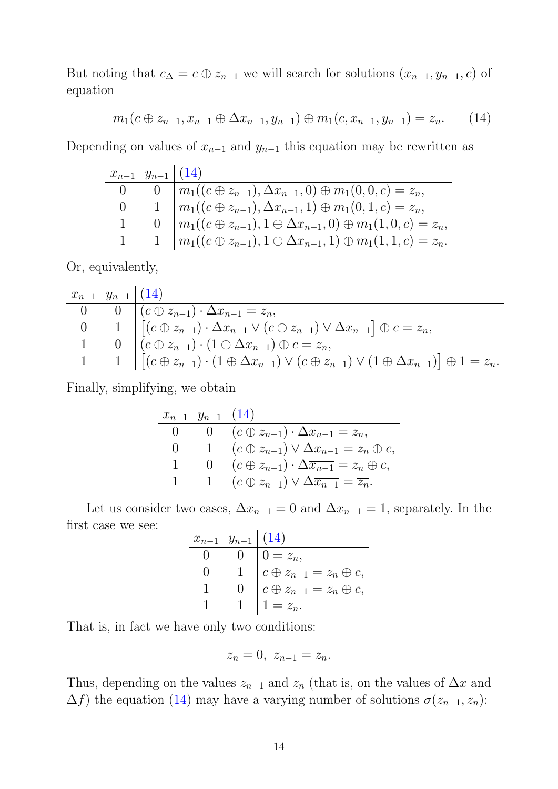But noting that  $c_{\Delta} = c \oplus z_{n-1}$  we will search for solutions  $(x_{n-1}, y_{n-1}, c)$  of equation

<span id="page-13-0"></span>
$$
m_1(c \oplus z_{n-1}, x_{n-1} \oplus \Delta x_{n-1}, y_{n-1}) \oplus m_1(c, x_{n-1}, y_{n-1}) = z_n.
$$
 (14)

Depending on values of  $x_{n-1}$  and  $y_{n-1}$  this equation may be rewritten as

| $x_{n-1}$ $y_{n-1}$ $(14)$ |                                                                                         |
|----------------------------|-----------------------------------------------------------------------------------------|
|                            | $0 \mid m_1((c \oplus z_{n-1}), \Delta x_{n-1}, 0) \oplus m_1(0, 0, c) = z_n,$          |
|                            | $1 \mid m_1((c \oplus z_{n-1}), \Delta x_{n-1}, 1) \oplus m_1(0, 1, c) = z_n,$          |
|                            | $0 \mid m_1((c \oplus z_{n-1}), 1 \oplus \Delta x_{n-1}, 0) \oplus m_1(1, 0, c) = z_n,$ |
|                            | $1 \mid m_1((c \oplus z_{n-1}), 1 \oplus \Delta x_{n-1}, 1) \oplus m_1(1, 1, c) = z_n.$ |

Or, equivalently,

$$
\begin{array}{c|c}\nx_{n-1} & y_{n-1} & (14) \\
\hline\n0 & 0 & (c \oplus z_{n-1}) \cdot \Delta x_{n-1} = z_n, \\
0 & 1 & [(c \oplus z_{n-1}) \cdot \Delta x_{n-1} \vee (c \oplus z_{n-1}) \vee \Delta x_{n-1}] \oplus c = z_n, \\
1 & 0 & (c \oplus z_{n-1}) \cdot (1 \oplus \Delta x_{n-1}) \oplus c = z_n, \\
1 & 1 & [(c \oplus z_{n-1}) \cdot (1 \oplus \Delta x_{n-1}) \vee (c \oplus z_{n-1}) \vee (1 \oplus \Delta x_{n-1})] \oplus 1 = z_n.\n\end{array}
$$

Finally, simplifying, we obtain

$$
\begin{array}{c|c|c}\nx_{n-1} & y_{n-1} & (14) \\
\hline\n0 & 0 & (c \oplus z_{n-1}) \cdot \Delta x_{n-1} = z_n, \\
0 & 1 & (c \oplus z_{n-1}) \vee \Delta x_{n-1} = z_n \oplus c, \\
1 & 0 & (c \oplus z_{n-1}) \cdot \Delta \overline{x_{n-1}} = z_n \oplus c, \\
1 & 1 & (c \oplus z_{n-1}) \vee \Delta \overline{x_{n-1}} = \overline{z_n}.\n\end{array}
$$

Let us consider two cases,  $\Delta x_{n-1} = 0$  and  $\Delta x_{n-1} = 1$ , separately. In the first case we see:

| $x_{n-1}$ $y_{n-1}$ $(14)$ |                                                                                        |
|----------------------------|----------------------------------------------------------------------------------------|
|                            |                                                                                        |
|                            | $0 = z_n,$<br>$c \oplus z_{n-1} = z_n \oplus c,$<br>$c \oplus z_{n-1} = z_n \oplus c,$ |
|                            |                                                                                        |
|                            | $1=\overline{z_n}.$                                                                    |

That is, in fact we have only two conditions:

$$
z_n=0, \ z_{n-1}=z_n.
$$

Thus, depending on the values  $z_{n-1}$  and  $z_n$  (that is, on the values of  $\Delta x$  and  $\Delta f$ ) the equation [\(14\)](#page-13-0) may have a varying number of solutions  $\sigma(z_{n-1}, z_n)$ :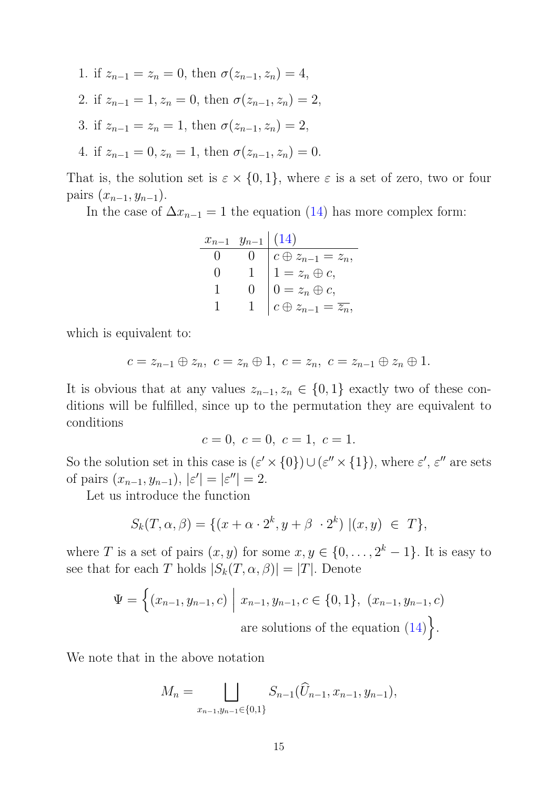- 1. if  $z_{n-1} = z_n = 0$ , then  $\sigma(z_{n-1}, z_n) = 4$ ,
- 2. if  $z_{n-1} = 1, z_n = 0$ , then  $\sigma(z_{n-1}, z_n) = 2$ ,
- 3. if  $z_{n-1} = z_n = 1$ , then  $\sigma(z_{n-1}, z_n) = 2$ ,
- 4. if  $z_{n-1} = 0, z_n = 1$ , then  $\sigma(z_{n-1}, z_n) = 0$ .

That is, the solution set is  $\varepsilon \times \{0, 1\}$ , where  $\varepsilon$  is a set of zero, two or four pairs  $(x_{n-1}, y_{n-1})$ .

In the case of  $\Delta x_{n-1} = 1$  the equation [\(14\)](#page-13-0) has more complex form:

$$
\begin{array}{c|c|c}\nx_{n-1} & y_{n-1} & (14) \\
\hline\n0 & 0 & c \oplus z_{n-1} = z_n, \\
0 & 1 & 1 = z_n \oplus c, \\
1 & 0 & 0 = z_n \oplus c, \\
1 & 1 & c \oplus z_{n-1} = \overline{z_n},\n\end{array}
$$

which is equivalent to:

$$
c=z_{n-1}\oplus z_n, \ c=z_n\oplus 1, \ c=z_n, \ c=z_{n-1}\oplus z_n\oplus 1.
$$

It is obvious that at any values  $z_{n-1}, z_n \in \{0,1\}$  exactly two of these conditions will be fulfilled, since up to the permutation they are equivalent to conditions

$$
c = 0, \ c = 0, \ c = 1, \ c = 1.
$$

So the solution set in this case is  $({\varepsilon}' \times \{0\}) \cup ({\varepsilon}'' \times \{1\})$ , where  ${\varepsilon}', {\varepsilon}''$  are sets of pairs  $(x_{n-1}, y_{n-1}), |\varepsilon'| = |\varepsilon''| = 2.$ 

Let us introduce the function

$$
S_k(T, \alpha, \beta) = \{ (x + \alpha \cdot 2^k, y + \beta \cdot 2^k) \mid (x, y) \in T \},
$$

where T is a set of pairs  $(x, y)$  for some  $x, y \in \{0, \ldots, 2^k-1\}$ . It is easy to see that for each T holds  $|S_k(T, \alpha, \beta)| = |T|$ . Denote

$$
\Psi = \left\{ (x_{n-1}, y_{n-1}, c) \mid x_{n-1}, y_{n-1}, c \in \{0, 1\}, (x_{n-1}, y_{n-1}, c) \right\}
$$
  
are solutions of the equation (14).

We note that in the above notation

$$
M_n = \bigsqcup_{x_{n-1}, y_{n-1} \in \{0, 1\}} S_{n-1}(\widehat{U}_{n-1}, x_{n-1}, y_{n-1}),
$$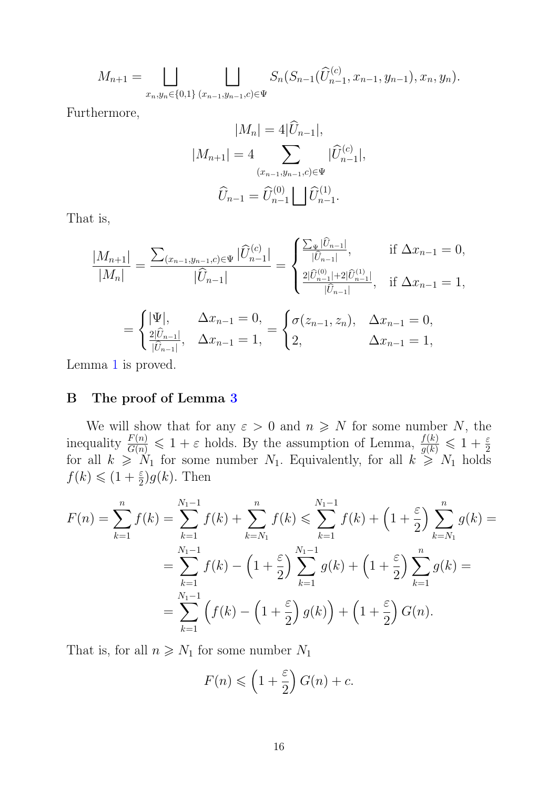$$
M_{n+1} = \bigsqcup_{x_n, y_n \in \{0, 1\}} \bigsqcup_{(x_{n-1}, y_{n-1}, c) \in \Psi} S_n(S_{n-1}(\widehat{U}_{n-1}^{(c)}, x_{n-1}, y_{n-1}), x_n, y_n).
$$

Furthermore,

$$
|M_n| = 4|U_{n-1}|,
$$
  
\n
$$
|M_{n+1}| = 4 \sum_{(x_{n-1}, y_{n-1}, c) \in \Psi} |\widehat{U}_{n-1}^{(c)}|,
$$
  
\n
$$
\widehat{U}_{n-1} = \widehat{U}_{n-1}^{(0)} \bigsqcup \widehat{U}_{n-1}^{(1)}.
$$

That is,

$$
\frac{|M_{n+1}|}{|M_n|} = \frac{\sum_{(x_{n-1}, y_{n-1}, c) \in \Psi} |\widehat{U}_{n-1}^{(c)}|}{|\widehat{U}_{n-1}|} = \begin{cases} \frac{\sum_{\Psi} |\widehat{U}_{n-1}|}{|\widehat{U}_{n-1}|}, & \text{if } \Delta x_{n-1} = 0, \\ \frac{2|\widehat{U}_{n-1}^{(0)}| + 2|\widehat{U}_{n-1}^{(1)}|}{|\widehat{U}_{n-1}|}, & \text{if } \Delta x_{n-1} = 1, \\ \frac{2|\widehat{U}_{n-1}|}{|\widehat{U}_{n-1}|}, & \Delta x_{n-1} = 0, \end{cases}
$$

$$
= \begin{cases} |\Psi|, & \Delta x_{n-1} = 0, \\ \frac{2|\widehat{U}_{n-1}|}{|\widehat{U}_{n-1}|}, & \Delta x_{n-1} = 1, \end{cases} = \begin{cases} \sigma(z_{n-1}, z_n), & \Delta x_{n-1} = 0, \\ 2, & \Delta x_{n-1} = 1, \end{cases}
$$

<span id="page-15-0"></span>Lemma [1](#page-1-0) is proved.

## B The proof of Lemma [3](#page-8-0)

We will show that for any  $\varepsilon > 0$  and  $n \geq N$  for some number N, the inequality  $\frac{F(n)}{G(n)} \leq 1 + \varepsilon$  holds. By the assumption of Lemma,  $\frac{f(k)}{g(k)} \leq 1 + \frac{\varepsilon}{2}$  for all  $k \geq N_1$  for some number  $N_1$ . Equivalently, for all  $k \geq N_1$  holds  $f(k) \leqslant (1 + \frac{\varepsilon}{2})g(k)$ . Then

$$
F(n) = \sum_{k=1}^{n} f(k) = \sum_{k=1}^{N_1 - 1} f(k) + \sum_{k=N_1}^{n} f(k) \le \sum_{k=1}^{N_1 - 1} f(k) + \left(1 + \frac{\varepsilon}{2}\right) \sum_{k=N_1}^{n} g(k) =
$$
  
= 
$$
\sum_{k=1}^{N_1 - 1} f(k) - \left(1 + \frac{\varepsilon}{2}\right) \sum_{k=1}^{N_1 - 1} g(k) + \left(1 + \frac{\varepsilon}{2}\right) \sum_{k=1}^{n} g(k) =
$$
  
= 
$$
\sum_{k=1}^{N_1 - 1} \left( f(k) - \left(1 + \frac{\varepsilon}{2}\right) g(k) \right) + \left(1 + \frac{\varepsilon}{2}\right) G(n).
$$

That is, for all  $n \geq N_1$  for some number  $N_1$ 

$$
F(n) \leqslant \left(1 + \frac{\varepsilon}{2}\right)G(n) + c.
$$